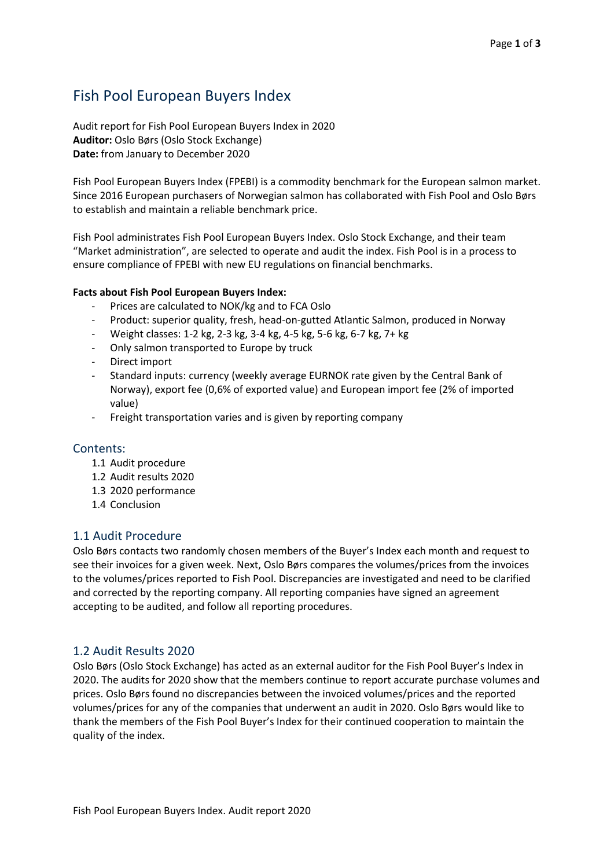# Fish Pool European Buyers Index

Audit report for Fish Pool European Buyers Index in 2020 **Auditor:** Oslo Børs (Oslo Stock Exchange) **Date:** from January to December 2020

Fish Pool European Buyers Index (FPEBI) is a commodity benchmark for the European salmon market. Since 2016 European purchasers of Norwegian salmon has collaborated with Fish Pool and Oslo Børs to establish and maintain a reliable benchmark price.

Fish Pool administrates Fish Pool European Buyers Index. Oslo Stock Exchange, and their team "Market administration", are selected to operate and audit the index. Fish Pool is in a process to ensure compliance of FPEBI with new EU regulations on financial benchmarks.

# **Facts about Fish Pool European Buyers Index:**

- Prices are calculated to NOK/kg and to FCA Oslo
- Product: superior quality, fresh, head-on-gutted Atlantic Salmon, produced in Norway
- Weight classes: 1-2 kg, 2-3 kg, 3-4 kg, 4-5 kg, 5-6 kg, 6-7 kg, 7+ kg
- Only salmon transported to Europe by truck
- Direct import
- Standard inputs: currency (weekly average EURNOK rate given by the Central Bank of Norway), export fee (0,6% of exported value) and European import fee (2% of imported value)
- Freight transportation varies and is given by reporting company

# Contents:

- 1.1 Audit procedure
- 1.2 Audit results 2020
- 1.3 2020 performance
- 1.4 Conclusion

# 1.1 Audit Procedure

Oslo Børs contacts two randomly chosen members of the Buyer's Index each month and request to see their invoices for a given week. Next, Oslo Børs compares the volumes/prices from the invoices to the volumes/prices reported to Fish Pool. Discrepancies are investigated and need to be clarified and corrected by the reporting company. All reporting companies have signed an agreement accepting to be audited, and follow all reporting procedures.

# 1.2 Audit Results 2020

Oslo Børs (Oslo Stock Exchange) has acted as an external auditor for the Fish Pool Buyer's Index in 2020. The audits for 2020 show that the members continue to report accurate purchase volumes and prices. Oslo Børs found no discrepancies between the invoiced volumes/prices and the reported volumes/prices for any of the companies that underwent an audit in 2020. Oslo Børs would like to thank the members of the Fish Pool Buyer's Index for their continued cooperation to maintain the quality of the index.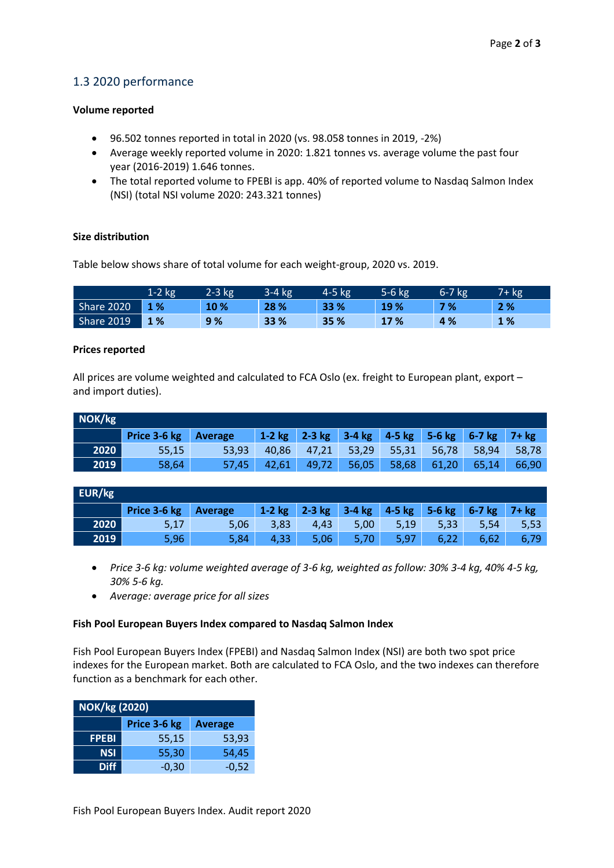# 1.3 2020 performance

#### **Volume reported**

- 96.502 tonnes reported in total in 2020 (vs. 98.058 tonnes in 2019, -2%)
- Average weekly reported volume in 2020: 1.821 tonnes vs. average volume the past four year (2016-2019) 1.646 tonnes.
- The total reported volume to FPEBI is app. 40% of reported volume to Nasdaq Salmon Index (NSI) (total NSI volume 2020: 243.321 tonnes)

# **Size distribution**

Table below shows share of total volume for each weight-group, 2020 vs. 2019.

|            | $1-2$ kg | 2-3 kg | 3-4 kg | 4-5 kg | 5-6 kg | $6-7$ $kg$ | $7 + kg$ |
|------------|----------|--------|--------|--------|--------|------------|----------|
| Share 2020 | 1 %      | 10 %   | 28 %   | 33 %   | 19%    | 7%         | 2%       |
| Share 2019 | 1 %      | 9%     | 33 %   | 35 %   | 17 %   | 4%         | 1 %      |

# **Prices reported**

All prices are volume weighted and calculated to FCA Oslo (ex. freight to European plant, export – and import duties).

| NOK/kg |              |                |                   |       |       |       |       |                                             |       |
|--------|--------------|----------------|-------------------|-------|-------|-------|-------|---------------------------------------------|-------|
|        | Price 3-6 kg | <b>Average</b> | $1-2$ kg $2-3$ kg |       |       |       |       | $3-4$ kg $4-5$ kg $5-6$ kg $6-7$ kg $7+$ kg |       |
| 2020   | 55,15        | 53.93          | 40.86             | 47.21 | 53,29 | 55.31 | 56.78 | 58,94                                       | 58.78 |
| 2019   | 58,64        | 57,45          | 42.61             | 49,72 | 56,05 | 58,68 | 61,20 | 65,14                                       | 66.90 |

| EUR/kg        |              |         |      |      |                                                 |      |      |      |      |
|---------------|--------------|---------|------|------|-------------------------------------------------|------|------|------|------|
|               | Price 3-6 kg | Average |      |      | 1-2 kg 2-3 kg 3-4 kg 4-5 kg 5-6 kg 6-7 kg 7+ kg |      |      |      |      |
| 2020          | 5,17         | 5,06    | 3,83 | 4.43 | 5.00                                            | 5,19 | 5,33 | 5,54 | 5,53 |
| $\sqrt{2019}$ | 5,96         | 5,84    | 4,33 | 5,06 | 5,70                                            | 5,97 | 6,22 | 6,62 | 6,79 |

- *Price 3-6 kg: volume weighted average of 3-6 kg, weighted as follow: 30% 3-4 kg, 40% 4-5 kg, 30% 5-6 kg.*
- *Average: average price for all sizes*

#### **Fish Pool European Buyers Index compared to Nasdaq Salmon Index**

Fish Pool European Buyers Index (FPEBI) and Nasdaq Salmon Index (NSI) are both two spot price indexes for the European market. Both are calculated to FCA Oslo, and the two indexes can therefore function as a benchmark for each other.

| <b>NOK/kg (2020)</b> |              |                |  |  |  |  |
|----------------------|--------------|----------------|--|--|--|--|
|                      | Price 3-6 kg | <b>Average</b> |  |  |  |  |
| <b>FPEBI</b>         | 55,15        | 53,93          |  |  |  |  |
| <b>NSI</b>           | 55,30        | 54,45          |  |  |  |  |
| <b>Diff</b>          | $-0,30$      | $-0,52$        |  |  |  |  |